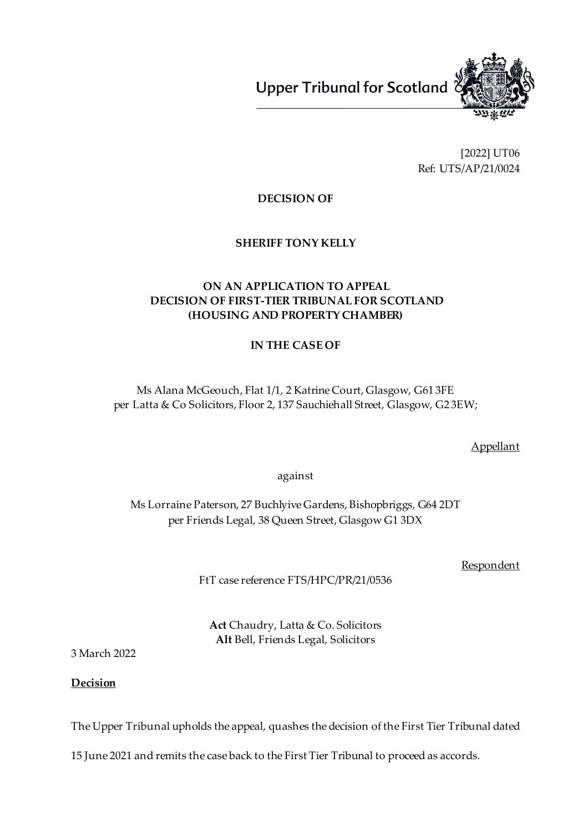**Upper Tribunal for Scotland** 



[2022] UT06 Ref: UTS/AP/21/0024

**DECISION OF**

**SHERIFF TONY KELLY**

# **ON AN APPLICATION TO APPEAL DECISION OF FIRST-TIER TRIBUNAL FOR SCOTLAND (HOUSING AND PROPERTY CHAMBER)**

# **IN THE CASE OF**

Ms Alana McGeouch, Flat 1/1, 2 Katrine Court, Glasgow, G61 3FE per Latta & Co Solicitors, Floor 2, 137 Sauchiehall Street, Glasgow, G2 3EW;

Appellant

against

Ms Lorraine Paterson, 27 Buchlyive Gardens, Bishopbriggs, G64 2DT per Friends Legal, 38 Queen Street, Glasgow G1 3DX

Respondent

FtT case reference FTS/HPC/PR/21/0536

**Act** Chaudry, Latta & Co. Solicitors **Alt** Bell, Friends Legal, Solicitors

3 March 2022

**Decision**

The Upper Tribunal upholds the appeal, quashes the decision of the First Tier Tribunal dated

15 June 2021 and remits the case back to the First Tier Tribunal to proceed as accords.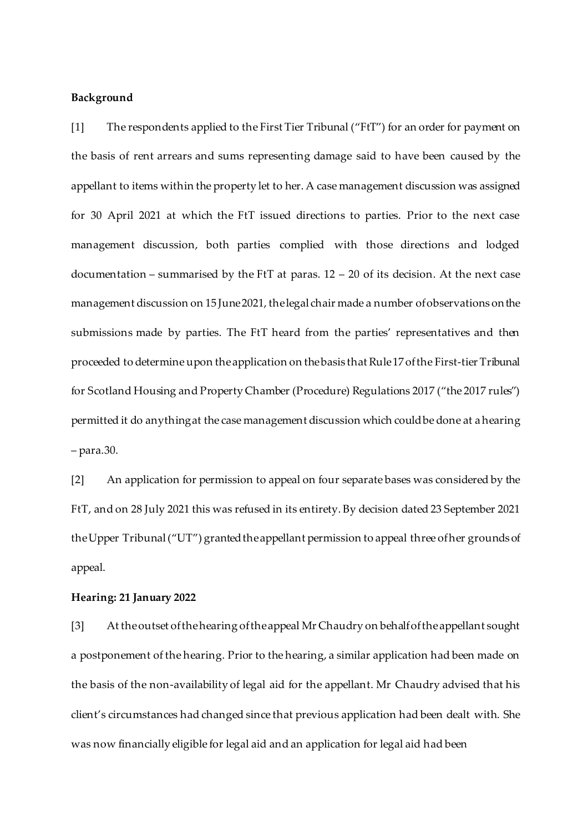## **Background**

[1] The respondents applied to the First Tier Tribunal ("FtT") for an order for payment on the basis of rent arrears and sums representing damage said to have been caused by the appellant to items within the property let to her. A case management discussion was assigned for 30 April 2021 at which the FtT issued directions to parties. Prior to the next case management discussion, both parties complied with those directions and lodged documentation – summarised by the FtT at paras. 12 – 20 of its decision. At the next case management discussion on 15 June2021, thelegal chair made a number ofobservations onthe submissions made by parties. The FtT heard from the parties' representatives and then proceeded to determine upon theapplication on thebasis that Rule17 ofthe First-tier Tribunal for Scotland Housing and Property Chamber (Procedure) Regulations 2017 ("the 2017 rules") permitted it do anythingat the case management discussion which couldbe done at ahearing – para.30.

[2] An application for permission to appeal on four separate bases was considered by the FtT, and on 28 July 2021 this was refused in its entirety. By decision dated 23 September 2021 the Upper Tribunal ("UT") granted the appellant permission to appeal three of her grounds of appeal.

## **Hearing: 21 January 2022**

[3] At the outset of the hearing of the appeal Mr Chaudry on behalf of the appellant sought a postponement of the hearing. Prior to the hearing, a similar application had been made on the basis of the non-availability of legal aid for the appellant. Mr Chaudry advised that his client's circumstances had changed since that previous application had been dealt with. She was now financially eligible for legal aid and an application for legal aid had been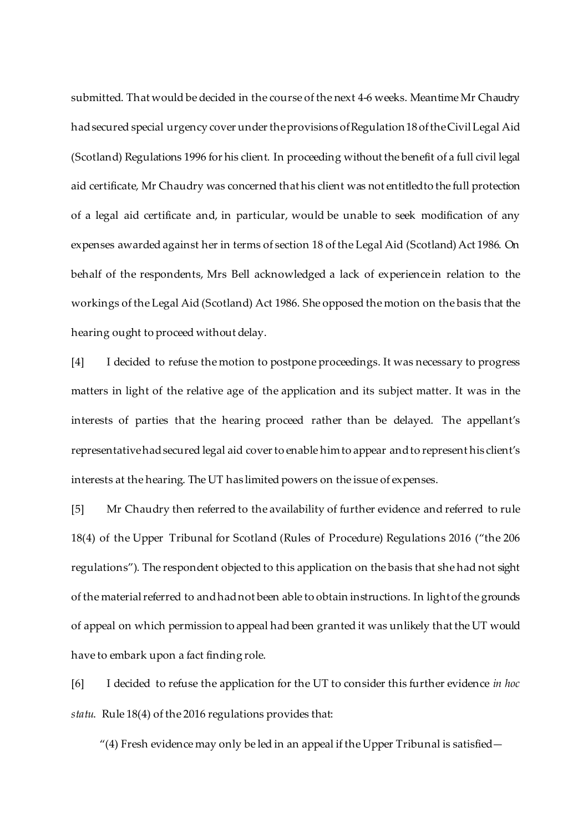submitted. That would be decided in the course of the next 4-6 weeks. Meantime Mr Chaudry had secured special urgency cover under the provisions of Regulation 18 of theCivil Legal Aid (Scotland) Regulations 1996 for his client. In proceeding without the benefit of a full civil legal aid certificate, Mr Chaudry was concerned that his client was not entitledto the full protection of a legal aid certificate and, in particular, would be unable to seek modification of any expenses awarded against her in terms of section 18 of the Legal Aid (Scotland) Act 1986. On behalf of the respondents, Mrs Bell acknowledged a lack of experiencein relation to the workings of the Legal Aid (Scotland) Act 1986. She opposed the motion on the basis that the hearing ought to proceed without delay.

[4] I decided to refuse the motion to postpone proceedings. It was necessary to progress matters in light of the relative age of the application and its subject matter. It was in the interests of parties that the hearing proceed rather than be delayed. The appellant's representative had secured legal aid cover to enable him to appear and to represent his client's interests at the hearing. The UT has limited powers on the issue of expenses.

[5] Mr Chaudry then referred to the availability of further evidence and referred to rule 18(4) of the Upper Tribunal for Scotland (Rules of Procedure) Regulations 2016 ("the 206 regulations"). The respondent objected to this application on the basis that she had not sight of the material referred to and had not been able to obtain instructions. In light of the grounds of appeal on which permission to appeal had been granted it was unlikely that the UT would have to embark upon a fact finding role.

[6] I decided to refuse the application for the UT to consider this further evidence *in hoc statu*. Rule 18(4) of the 2016 regulations provides that:

"(4) Fresh evidence may only be led in an appeal if the Upper Tribunal is satisfied—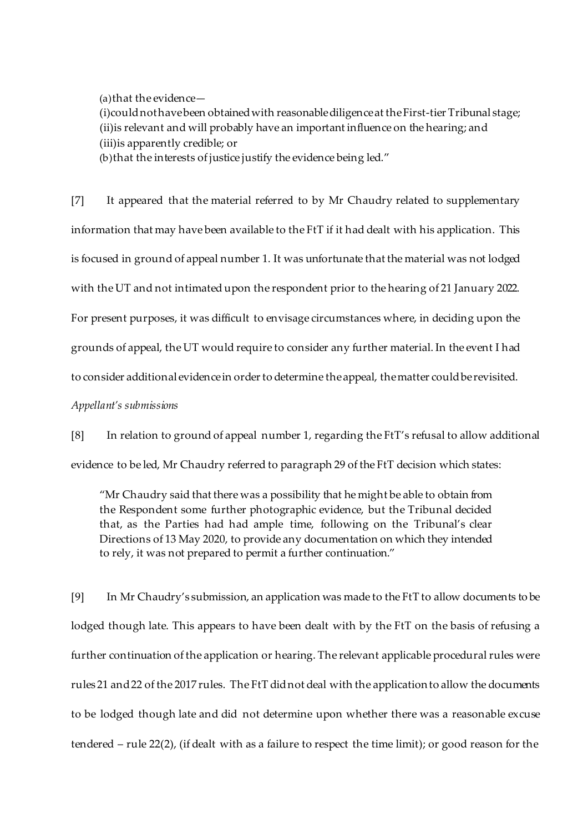(a)that the evidence—

(i)couldnothavebeen obtainedwith reasonablediligenceat theFirst-tier Tribunal stage; (ii)is relevant and will probably have an important influence on the hearing; and (iii)is apparently credible; or

(b)that the interests of justice justify the evidence being led."

[7] It appeared that the material referred to by Mr Chaudry related to supplementary information that may have been available to the FtT if it had dealt with his application. This is focused in ground of appeal number 1. It was unfortunate that the material was not lodged with the UT and not intimated upon the respondent prior to the hearing of 21 January 2022. For present purposes, it was difficult to envisage circumstances where, in deciding upon the grounds of appeal, the UT would require to consider any further material. In the event I had to consider additional evidence in order to determine the appeal, the matter could be revisited.

*Appellant's submissions*

[8] In relation to ground of appeal number 1, regarding the FtT's refusal to allow additional evidence to be led, Mr Chaudry referred to paragraph 29 of the FtT decision which states:

"Mr Chaudry said that there was a possibility that he might be able to obtain from the Respondent some further photographic evidence, but the Tribunal decided that, as the Parties had had ample time, following on the Tribunal's clear Directions of 13 May 2020, to provide any documentation on which they intended to rely, it was not prepared to permit a further continuation."

[9] In Mr Chaudry's submission, an application was made to the FtT to allow documents to be lodged though late. This appears to have been dealt with by the FtT on the basis of refusing a further continuation of the application or hearing. The relevant applicable procedural rules were rules 21 and22 of the 2017 rules. The FtT didnot deal with the applicationto allow the documents to be lodged though late and did not determine upon whether there was a reasonable excuse tendered – rule 22(2), (if dealt with as a failure to respect the time limit); or good reason for the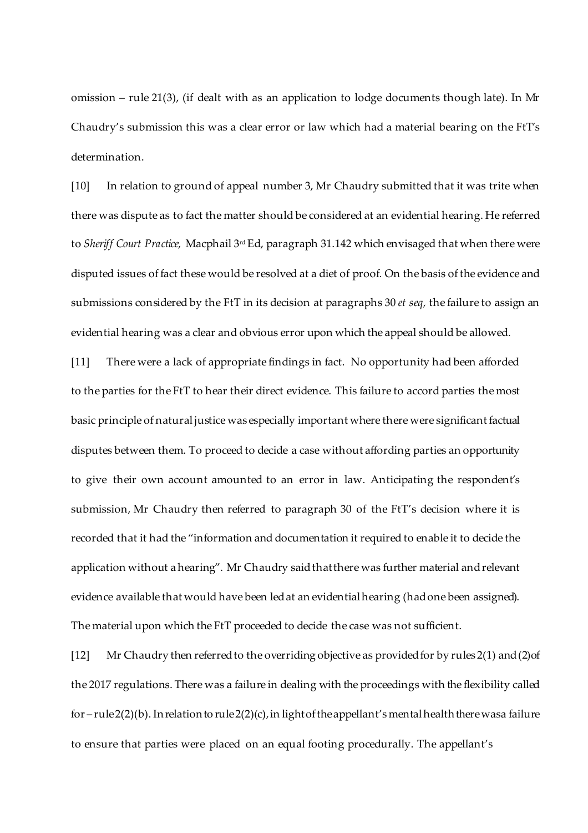omission – rule 21(3), (if dealt with as an application to lodge documents though late). In Mr Chaudry's submission this was a clear error or law which had a material bearing on the FtT's determination.

[10] In relation to ground of appeal number 3, Mr Chaudry submitted that it was trite when there was dispute as to fact the matter should be considered at an evidential hearing. He referred to *Sheriff Court Practice,* Macphail 3rd Ed, paragraph 31.142 which envisaged that when there were disputed issues of fact these would be resolved at a diet of proof. On the basis of the evidence and submissions considered by the FtT in its decision at paragraphs 30 *et seq,* the failure to assign an evidential hearing was a clear and obvious error upon which the appeal should be allowed.

[11] There were a lack of appropriate findings in fact. No opportunity had been afforded to the parties for the FtT to hear their direct evidence. This failure to accord parties the most basic principle of naturaljustice was especially important where there were significant factual disputes between them. To proceed to decide a case without affording parties an opportunity to give their own account amounted to an error in law. Anticipating the respondent's submission, Mr Chaudry then referred to paragraph 30 of the FtT's decision where it is recorded that it had the "information and documentation it required to enable it to decide the application without ahearing". Mr Chaudry saidthatthere was further material andrelevant evidence available that would have been ledat an evidentialhearing (hadone been assigned). The material upon which the FtT proceeded to decide the case was not sufficient.

[12] Mr Chaudry then referred to the overriding objective as provided for by rules 2(1) and (2) of the 2017 regulations. There was a failure in dealing with the proceedings with the flexibility called for – rule  $2(2)(b)$ . In relation to rule  $2(2)(c)$ , in light of the appellant's mental health there wasa failure to ensure that parties were placed on an equal footing procedurally. The appellant's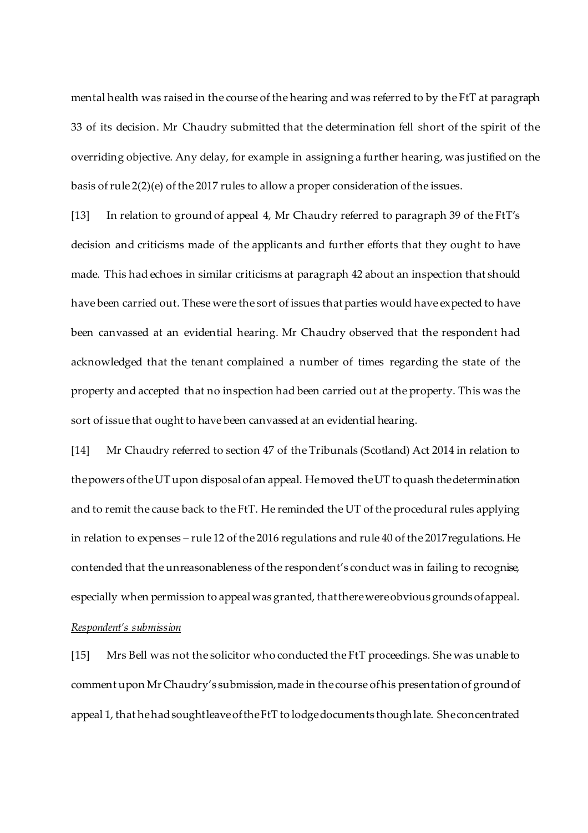mental health was raised in the course of the hearing and was referred to by the FtT at paragraph 33 of its decision. Mr Chaudry submitted that the determination fell short of the spirit of the overriding objective. Any delay, for example in assigning a further hearing, was justified on the basis ofrule 2(2)(e) of the 2017 rules to allow a proper consideration of the issues.

[13] In relation to ground of appeal 4, Mr Chaudry referred to paragraph 39 of the FtT's decision and criticisms made of the applicants and further efforts that they ought to have made. This had echoes in similar criticisms at paragraph 42 about an inspection that should have been carried out. These were the sort of issues that parties would have expected to have been canvassed at an evidential hearing. Mr Chaudry observed that the respondent had acknowledged that the tenant complained a number of times regarding the state of the property and accepted that no inspection had been carried out at the property. This was the sort of issue that ought to have been canvassed at an evidential hearing.

[14] Mr Chaudry referred to section 47 of the Tribunals (Scotland) Act 2014 in relation to thepowers oftheUT upon disposal ofan appeal. Hemoved theUT to quash thedetermination and to remit the cause back to the FtT. He reminded the UT of the procedural rules applying in relation to expenses – rule 12 of the 2016 regulations and rule 40 of the 2017regulations. He contended that the unreasonableness of the respondent's conduct was in failing to recognise, especially when permission to appeal was granted, that there wereobvious grounds ofappeal.

## *Respondent's submission*

[15] Mrs Bell was not the solicitor who conducted the FtT proceedings. She was unable to comment upon Mr Chaudry's submission, made in the course of his presentation of ground of appeal 1, that hehadsoughtleaveoftheFtT to lodgedocuments thoughlate. Sheconcentrated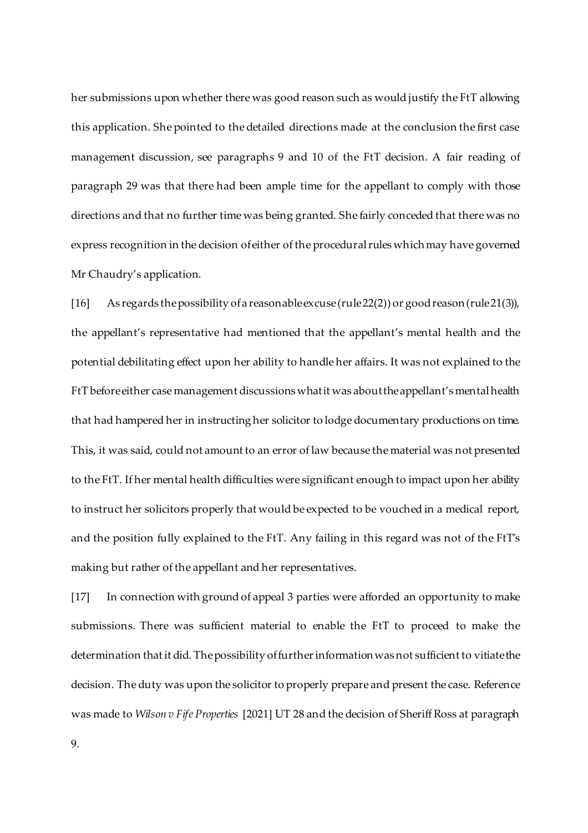her submissions upon whether there was good reason such as would justify the FtT allowing this application. She pointed to the detailed directions made at the conclusion the first case management discussion, see paragraphs 9 and 10 of the FtT decision. A fair reading of paragraph 29 was that there had been ample time for the appellant to comply with those directions and that no further time was being granted. She fairly conceded that there was no express recognition in the decision of either of the procedural rules which may have governed Mr Chaudry's application.

[16] As regards thepossibility ofa reasonableexcuse(rule22(2)) or goodreason(rule21(3)), the appellant's representative had mentioned that the appellant's mental health and the potential debilitating effect upon her ability to handle her affairs. It was not explained to the FtT beforeeither case management discussions whatit was abouttheappellant's mentalhealth that had hampered her in instructing her solicitor to lodge documentary productions on time. This, it was said, could not amount to an error of law because the material was not presented to the FtT. If her mental health difficulties were significant enough to impact upon her ability to instruct her solicitors properly that would be expected to be vouched in a medical report, and the position fully explained to the FtT. Any failing in this regard was not of the FtT's making but rather of the appellant and her representatives.

[17] In connection with ground of appeal 3 parties were afforded an opportunity to make submissions. There was sufficient material to enable the FtT to proceed to make the determination that it did. The possibility of further information was not sufficient to vitiate the decision. The duty was upon the solicitor to properly prepare and present the case. Reference was made to *Wilson v Fife Properties* [2021] UT 28 and the decision of SheriffRoss at paragraph

9.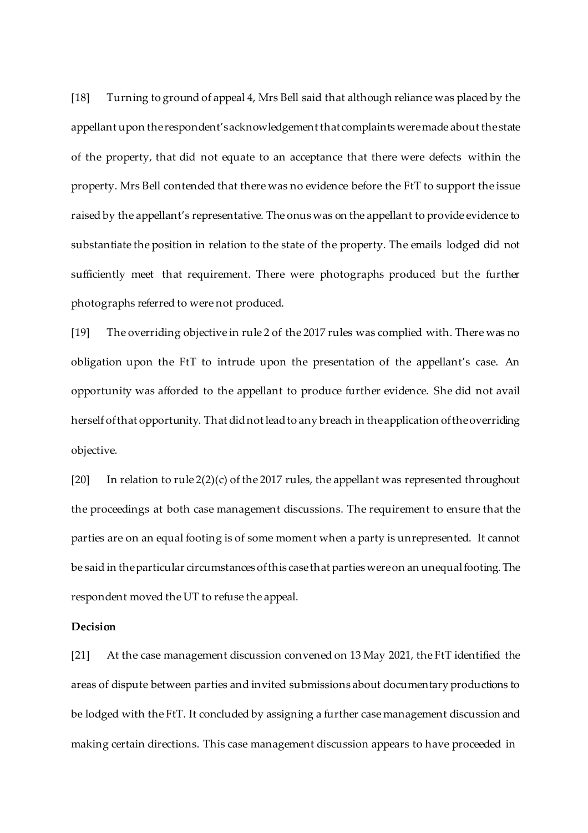[18] Turning to ground of appeal 4, Mrs Bell said that although reliance was placed by the appellant upon therespondent'sacknowledgement thatcomplaints weremade about thestate of the property, that did not equate to an acceptance that there were defects within the property. Mrs Bell contended that there was no evidence before the FtT to support the issue raised by the appellant's representative. The onus was on the appellant to provide evidence to substantiate the position in relation to the state of the property. The emails lodged did not sufficiently meet that requirement. There were photographs produced but the further photographs referred to were not produced.

[19] The overriding objective in rule 2 of the 2017 rules was complied with. There was no obligation upon the FtT to intrude upon the presentation of the appellant's case. An opportunity was afforded to the appellant to produce further evidence. She did not avail herself ofthat opportunity. That didnot leadto any breach in theapplication oftheoverriding objective.

[20] In relation to rule  $2(2)(c)$  of the 2017 rules, the appellant was represented throughout the proceedings at both case management discussions. The requirement to ensure that the parties are on an equal footing is of some moment when a party is unrepresented. It cannot be said in the particular circumstances of this case that parties were on an unequal footing. The respondent moved the UT to refuse the appeal.

## **Decision**

[21] At the case management discussion convened on 13 May 2021, the FtT identified the areas of dispute between parties and invited submissions about documentary productions to be lodged with the FtT. It concluded by assigning a further case management discussion and making certain directions. This case management discussion appears to have proceeded in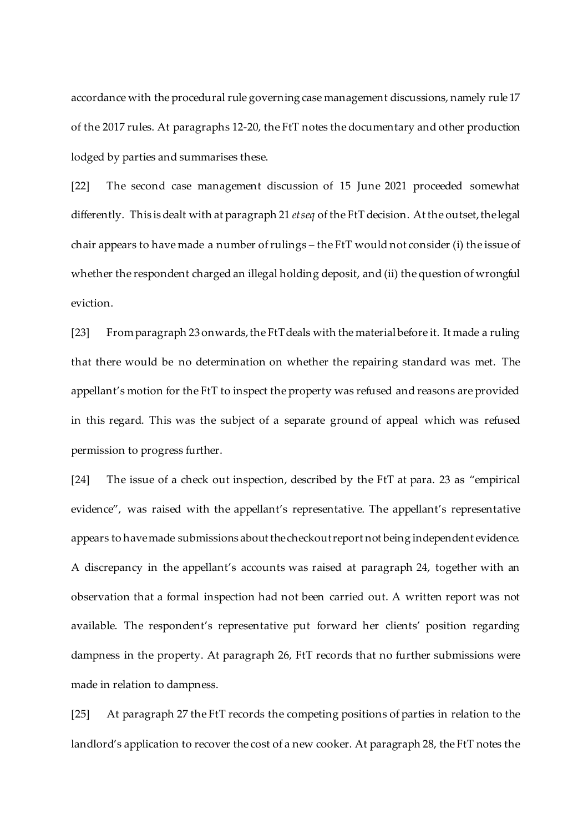accordance with the procedural rule governing case management discussions, namely rule 17 of the 2017 rules. At paragraphs 12-20, the FtT notes the documentary and other production lodged by parties and summarises these.

[22] The second case management discussion of 15 June 2021 proceeded somewhat differently. This is dealt with at paragraph 21 *etseq* of the FtT decision. At the outset, the legal chair appears to have made a number of rulings – the FtT would not consider (i) the issue of whether the respondent charged an illegal holding deposit, and (ii) the question of wrongful eviction.

[23] From paragraph 23 onwards, the FtT deals with the material before it. It made a ruling that there would be no determination on whether the repairing standard was met. The appellant's motion for the FtT to inspect the property was refused and reasons are provided in this regard. This was the subject of a separate ground of appeal which was refused permission to progress further.

[24] The issue of a check out inspection, described by the FtT at para. 23 as "empirical evidence", was raised with the appellant's representative. The appellant's representative appears to havemade submissions about thecheckoutreport not being independent evidence. A discrepancy in the appellant's accounts was raised at paragraph 24, together with an observation that a formal inspection had not been carried out. A written report was not available. The respondent's representative put forward her clients' position regarding dampness in the property. At paragraph 26, FtT records that no further submissions were made in relation to dampness.

[25] At paragraph 27 the FtT records the competing positions of parties in relation to the landlord's application to recover the cost of a new cooker. At paragraph 28, the FtT notes the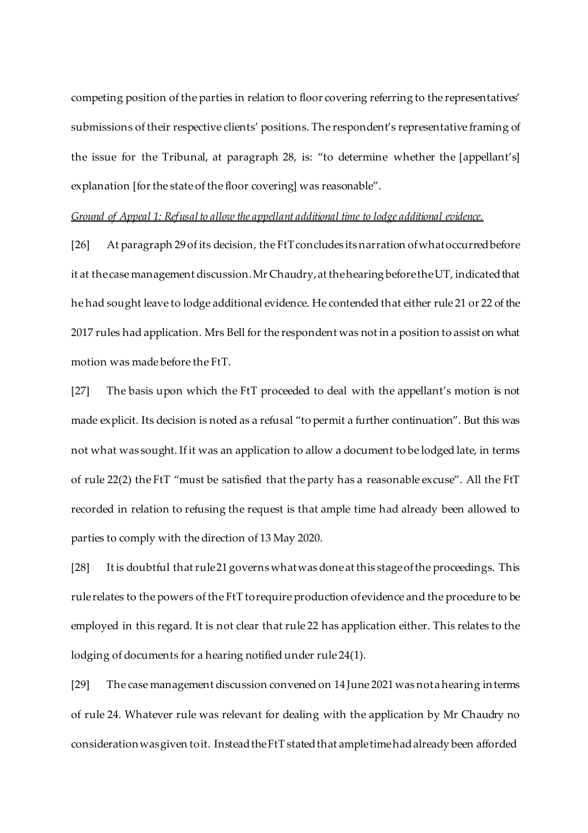competing position of the parties in relation to floor covering referring to the representatives' submissions of their respective clients' positions. The respondent's representative framing of the issue for the Tribunal, at paragraph 28, is: "to determine whether the [appellant's] explanation [for the state of the floor covering] was reasonable".

## *Ground of Appeal 1: Refusalto allow the appellant additional time to lodge additional evidence.*

[26] At paragraph 29 of its decision, the FtT concludes its narration of what occurred before it at the case management discussion. Mr Chaudry, at the hearing before the UT, indicated that he had sought leave to lodge additional evidence. He contended that either rule 21 or 22 of the 2017 rules had application. Mrs Bell for the respondent was not in a position to assist on what motion was made before the FtT.

[27] The basis upon which the FtT proceeded to deal with the appellant's motion is not made explicit. Its decision is noted as a refusal "to permit a further continuation". But this was not what was sought. If it was an application to allow a document to be lodged late, in terms of rule 22(2) the FtT "must be satisfied that the party has a reasonable excuse". All the FtT recorded in relation to refusing the request is that ample time had already been allowed to parties to comply with the direction of 13 May 2020.

[28] It is doubtful thatrule21 governs whatwasdoneat this stageofthe proceedings. This rulerelates to the powers of the FtT torequire production ofevidence and the procedure to be employed in this regard. It is not clear that rule 22 has application either. This relates to the lodging of documents for a hearing notified under rule 24(1).

[29] The case management discussion convened on 14 June 2021 was notahearing interms of rule 24. Whatever rule was relevant for dealing with the application by Mr Chaudry no consideration was given to it. Instead the FtT stated that ample time had already been afforded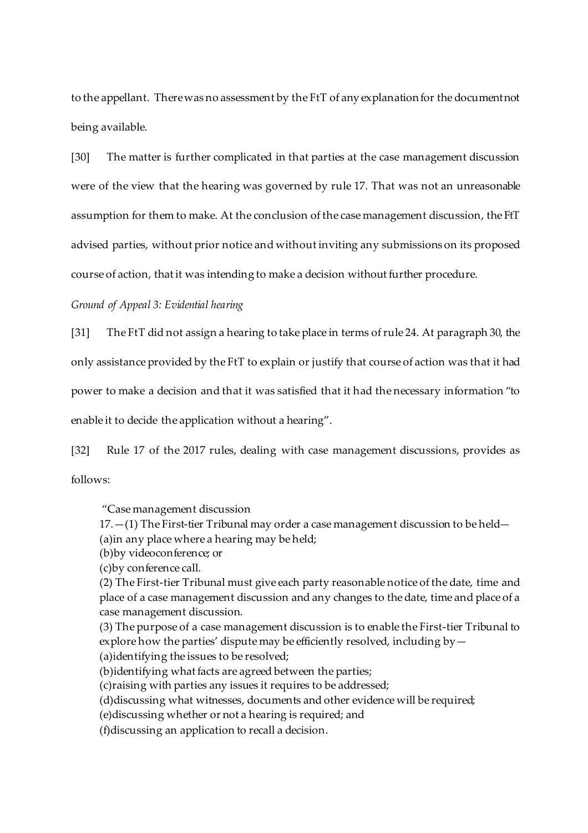to the appellant. There was no assessment by the FtT of any explanation for the document not being available.

[30] The matter is further complicated in that parties at the case management discussion were of the view that the hearing was governed by rule 17. That was not an unreasonable assumption for them to make. At the conclusion of the case management discussion, the FtT advised parties, without prior notice and without inviting any submissions on its proposed course of action, that it was intending to make a decision without further procedure.

## *Ground of Appeal 3: Evidential hearing*

[31] The FtT did not assign a hearing to take place in terms of rule 24. At paragraph 30, the

only assistance provided by the FtT to explain or justify that course of action was that it had

power to make a decision and that it was satisfied that it had the necessary information "to

enable it to decide the application without a hearing".

[32] Rule 17 of the 2017 rules, dealing with case management discussions, provides as follows:

"Case management discussion

17.—(1) The First-tier Tribunal may order a case management discussion to be held— (a)in any place where a hearing may be held;

(b)by videoconference; or

(c)by conference call.

(2) The First-tier Tribunal must give each party reasonable notice of the date, time and place of a case management discussion and any changes to the date, time and place of a case management discussion.

(3) The purpose of a case management discussion is to enable the First-tier Tribunal to explore how the parties' dispute may be efficiently resolved, including  $by$   $-$ (a)identifying the issues to be resolved;

(b)identifying what facts are agreed between the parties;

(c)raising with parties any issues it requires to be addressed;

(d)discussing what witnesses, documents and other evidence will be required;

(e)discussing whether or not a hearing is required; and

(f)discussing an application to recall a decision.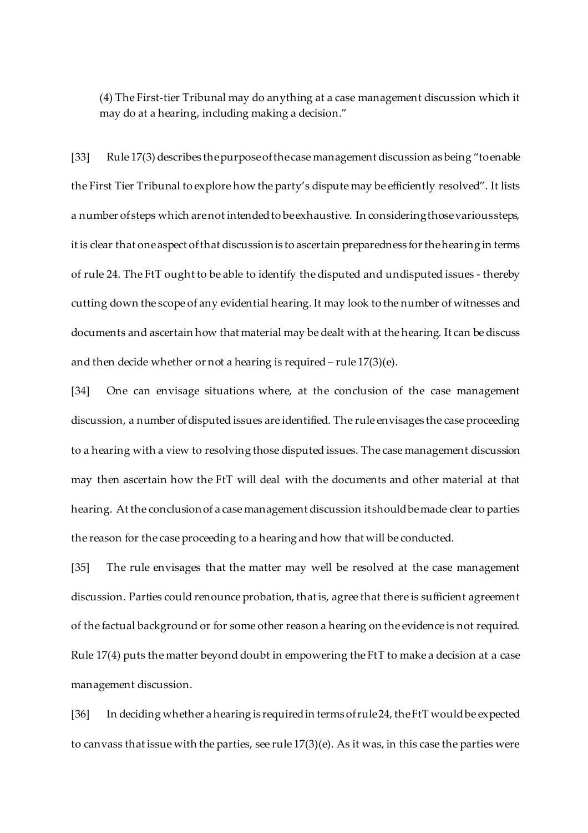(4) The First-tier Tribunal may do anything at a case management discussion which it may do at a hearing, including making a decision."

[33] Rule 17(3) describes thepurposeofthecase management discussion as being "toenable the First Tier Tribunal to explore how the party's dispute may be efficiently resolved". It lists a number of steps which are not intended to be exhaustive. In considering those various steps, it is clear that one aspect of that discussion is to ascertain preparedness for the hearing in terms of rule 24. The FtT ought to be able to identify the disputed and undisputed issues - thereby cutting down the scope of any evidential hearing. It may look to the number of witnesses and documents and ascertain how that material may be dealt with at the hearing. It can be discuss and then decide whether or not a hearing is required – rule 17(3)(e).

[34] One can envisage situations where, at the conclusion of the case management discussion, a number ofdisputed issues are identified. The rule envisages the case proceeding to a hearing with a view to resolving those disputed issues. The case management discussion may then ascertain how the FtT will deal with the documents and other material at that hearing. At the conclusion of a case management discussion it should be made clear to parties the reason for the case proceeding to a hearing and how that will be conducted.

[35] The rule envisages that the matter may well be resolved at the case management discussion. Parties could renounce probation, that is, agree that there is sufficient agreement of the factual background or for some other reason a hearing on the evidence is not required. Rule 17(4) puts the matter beyond doubt in empowering the FtT to make a decision at a case management discussion.

[36] In deciding whether ahearing is requiredin terms ofrule24, theFtT wouldbe expected to canvass that issue with the parties, see rule 17(3)(e). As it was, in this case the parties were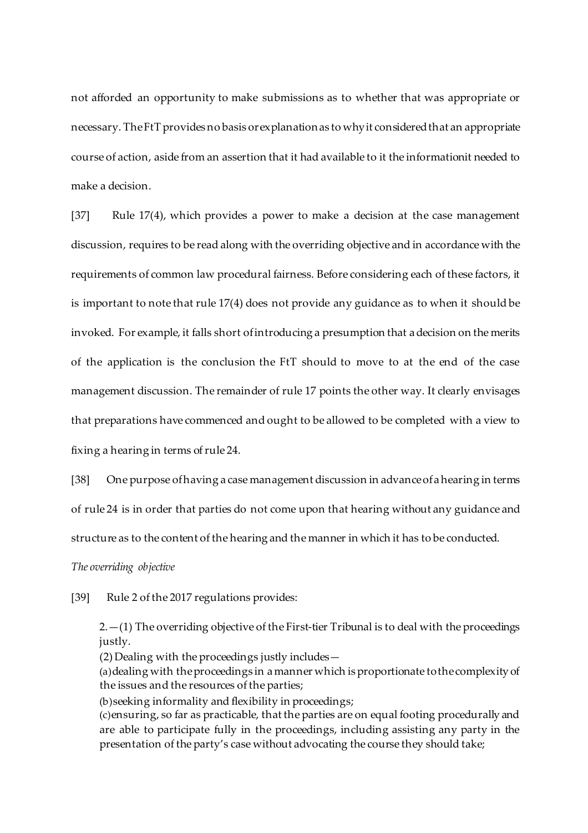not afforded an opportunity to make submissions as to whether that was appropriate or necessary. TheFtT provides no basis orexplanationas to whyit consideredthat an appropriate course of action, aside from an assertion that it had available to it the informationit needed to make a decision.

[37] Rule 17(4), which provides a power to make a decision at the case management discussion, requires to be read along with the overriding objective and in accordance with the requirements of common law procedural fairness. Before considering each of these factors, it is important to note that rule 17(4) does not provide any guidance as to when it should be invoked. For example, it falls short ofintroducing a presumption that adecision on the merits of the application is the conclusion the FtT should to move to at the end of the case management discussion. The remainder of rule 17 points the other way. It clearly envisages that preparations have commenced and ought to be allowed to be completed with a view to fixing a hearing in terms of rule 24.

[38] One purpose ofhaving a case management discussion in advanceofahearing in terms of rule 24 is in order that parties do not come upon that hearing without any guidance and structure as to the content of the hearing and the manner in which it has to be conducted.

*The overriding objective*

[39] Rule 2 of the 2017 regulations provides:

 $2. - (1)$  The overriding objective of the First-tier Tribunal is to deal with the proceedings justly.

(2) Dealing with the proceedings justly includes—

(a)dealing with theproceedings in amanner which isproportionate tothecomplexity of the issues and the resources of the parties;

(b)seeking informality and flexibility in proceedings;

(c)ensuring, so far as practicable, that the parties are on equal footing procedurally and are able to participate fully in the proceedings, including assisting any party in the presentation of the party's case without advocating the course they should take;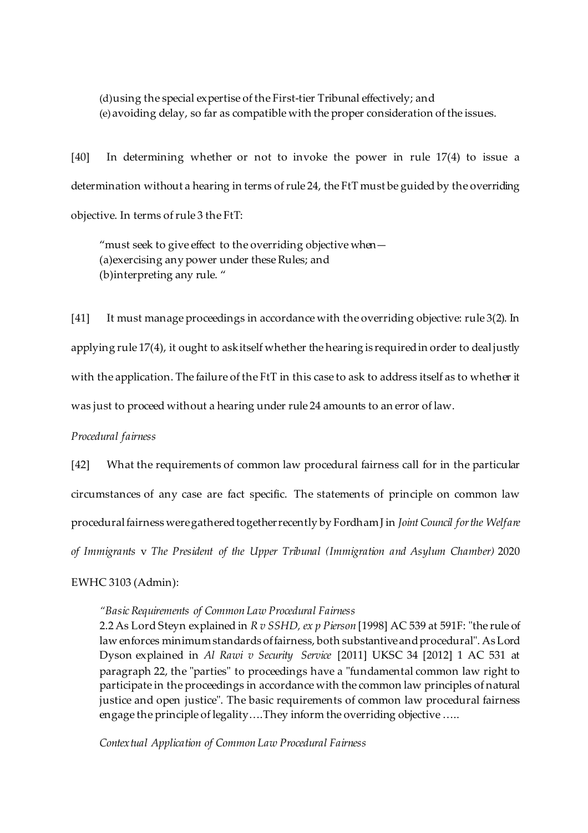(d)using the special expertise of the First-tier Tribunal effectively; and (e)avoiding delay, so far as compatible with the proper consideration of the issues.

[40] In determining whether or not to invoke the power in rule 17(4) to issue a determination without a hearing in terms ofrule 24, the FtT must be guided by the overriding objective. In terms of rule 3 the FtT:

"must seek to give effect to the overriding objective when— (a)exercising any power under these Rules; and (b)interpreting any rule. "

[41] It must manage proceedings in accordance with the overriding objective: rule 3(2). In applying rule 17(4), it ought to askitself whether the hearing is requiredin order to dealjustly with the application. The failure of the FtT in this case to ask to address itself as to whether it was just to proceed without a hearing under rule 24 amounts to an error of law.

*Procedural fairness*

[42] What the requirements of common law procedural fairness call for in the particular circumstances of any case are fact specific. The statements of principle on common law proceduralfairness weregatheredtogetherrecently by FordhamJ in *Joint Council forthe Welfare of Immigrants* v *The President of the Upper Tribunal (Immigration and Asylum Chamber)* 2020

EWHC 3103 (Admin):

## *"BasicRequirements of Common Law Procedural Fairness*

2.2As Lord Steyn explained in *R v SSHD, ex p Pierson* [1998] AC 539 at 591F: "the rule of law enforces minimumstandards offairness, both substantiveandprocedural". AsLord Dyson explained in *Al Rawi v Security Service* [2011] UKSC 34 [2012] 1 AC 531 at paragraph 22, the "parties" to proceedings have a "fundamental common law right to participate in the proceedings in accordance with the common law principles of natural justice and open justice". The basic requirements of common law procedural fairness engage the principle of legality….They inform the overriding objective…..

*Contextual Application of Common Law Procedural Fairness*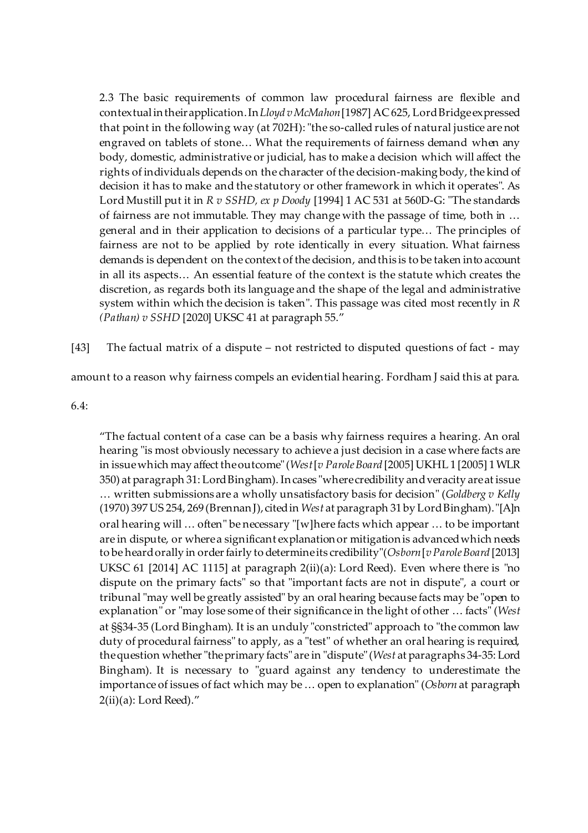2.3 The basic requirements of common law procedural fairness are flexible and contextualintheirapplication.In*Lloyd vMcMahon*[1987] AC 625, LordBridgeexpressed that point in the following way (at 702H): "the so-called rules of natural justice are not engraved on tablets of stone… What the requirements of fairness demand when any body, domestic, administrative or judicial, has to make a decision which will affect the rights of individuals depends on the character of the decision-making body, the kind of decision it has to make and the statutory or other framework in which it operates". As Lord Mustill put it in *R v SSHD, ex p Doody* [1994] 1 AC 531 at 560D-G: "The standards of fairness are not immutable. They may change with the passage of time, both in … general and in their application to decisions of a particular type… The principles of fairness are not to be applied by rote identically in every situation. What fairness demands is dependent on the context of the decision, and this is to be taken into account in all its aspects… An essential feature of the context is the statute which creates the discretion, as regards both its language and the shape of the legal and administrative system within which the decision is taken". This passage was cited most recently in *R (Pathan) v SSHD* [2020] UKSC 41 at paragraph 55."

[43] The factual matrix of a dispute – not restricted to disputed questions of fact - may

amount to a reason why fairness compels an evidential hearing. Fordham J said this at para.

## 6.4:

"The factual content of a case can be a basis why fairness requires a hearing. An oral hearing "is most obviously necessary to achieve a just decision in a case where facts are in issuewhich may affect theoutcome"(*West*[*v ParoleBoard* [2005] UKHL 1 [2005] 1WLR 350) at paragraph 31: LordBingham). Incases "wherecredibility andveracity areat issue … written submissions are a wholly unsatisfactory basis for decision" (*Goldberg v Kelly* (1970) 397US 254, 269 (BrennanJ),citedin *West* at paragraph 31 by LordBingham)."[A]n oral hearing will … often" be necessary "[w]here facts which appear … to be important are in dispute, or wherea significant explanationor mitigationis advancedwhich needs to be heardorally in orderfairly to determineits credibility"(*Osborn*[*vParoleBoard* [2013] UKSC 61 [2014] AC 1115] at paragraph 2(ii)(a): Lord Reed). Even where there is "no dispute on the primary facts" so that "important facts are not in dispute", a court or tribunal "may well be greatly assisted" by an oral hearing because facts may be "open to explanation" or "may lose some of their significance in the light of other … facts" (*West* at §§34-35 (Lord Bingham). It is an unduly "constricted" approach to "the common law duty of procedural fairness" to apply, as a "test" of whether an oral hearing is required, thequestion whether"theprimary facts" are in "dispute"(*West* at paragraphs 34-35: Lord Bingham). It is necessary to "guard against any tendency to underestimate the importance of issues of fact which may be… open to explanation" (*Osborn* at paragraph  $2(ii)(a)$ : Lord Reed)."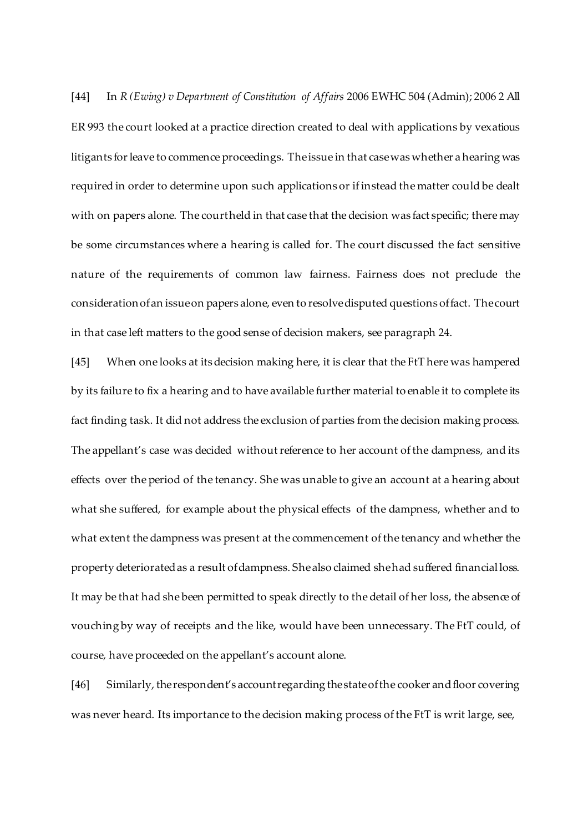[44] In *R (Ewing) v Department of Constitution of Affairs* 2006 EWHC 504 (Admin); 2006 2 All ER 993 the court looked at a practice direction created to deal with applications by vexatious litigants forleave to commence proceedings. Theissue in that casewas whether ahearing was required in order to determine upon such applications or if instead the matter could be dealt with on papers alone. The courtheld in that case that the decision was fact specific; there may be some circumstances where a hearing is called for. The court discussed the fact sensitive nature of the requirements of common law fairness. Fairness does not preclude the considerationofan issueon papers alone, even to resolvedisputed questions offact. Thecourt in that case left matters to the good sense of decision makers, see paragraph 24.

[45] When one looks at its decision making here, it is clear that the FtT here was hampered by its failure to fix a hearing and to have available further material to enable it to complete its fact finding task. It did not address the exclusion of parties from the decision making process. The appellant's case was decided without reference to her account of the dampness, and its effects over the period of the tenancy. She was unable to give an account at a hearing about what she suffered, for example about the physical effects of the dampness, whether and to what extent the dampness was present at the commencement of the tenancy and whether the property deteriorated as a result of dampness. She also claimed she had suffered financialloss. It may be that had she been permitted to speak directly to the detail of her loss, the absence of vouching by way of receipts and the like, would have been unnecessary. The FtT could, of course, have proceeded on the appellant's account alone.

[46] Similarly, the respondent's account regarding the state of the cooker and floor covering was never heard. Its importance to the decision making process of the FtT is writ large, see,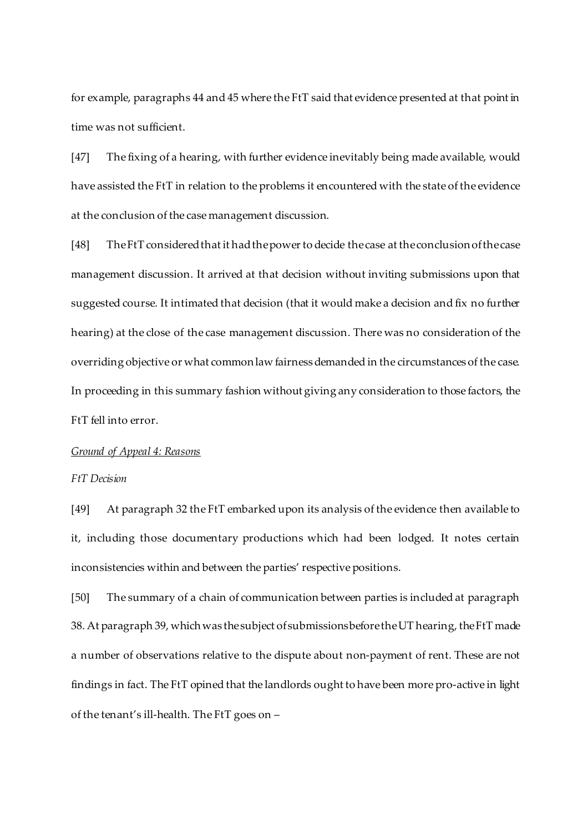for example, paragraphs 44 and 45 where the FtT said that evidence presented at that point in time was not sufficient.

[47] The fixing of a hearing, with further evidence inevitably being made available, would have assisted the FtT in relation to the problems it encountered with the state of the evidence at the conclusion of the case management discussion.

[48] The FtT considered that it had the power to decide the case at the conclusion of the case management discussion. It arrived at that decision without inviting submissions upon that suggested course. It intimated that decision (that it would make a decision and fix no further hearing) at the close of the case management discussion. There was no consideration of the overriding objective or what common law fairness demanded in the circumstances of the case. In proceeding in this summary fashion without giving any consideration to those factors, the FtT fell into error.

#### *Ground of Appeal 4: Reasons*

## *FtT Decision*

[49] At paragraph 32 the FtT embarked upon its analysis of the evidence then available to it, including those documentary productions which had been lodged. It notes certain inconsistencies within and between the parties' respective positions.

[50] The summary of a chain of communication between parties is included at paragraph 38. At paragraph 39, which was the subject of submissions before the UT hearing, the FtT made a number of observations relative to the dispute about non-payment of rent. These are not findings in fact. The FtT opined that the landlords ought to have been more pro-active in light of the tenant's ill-health. The FtT goes on –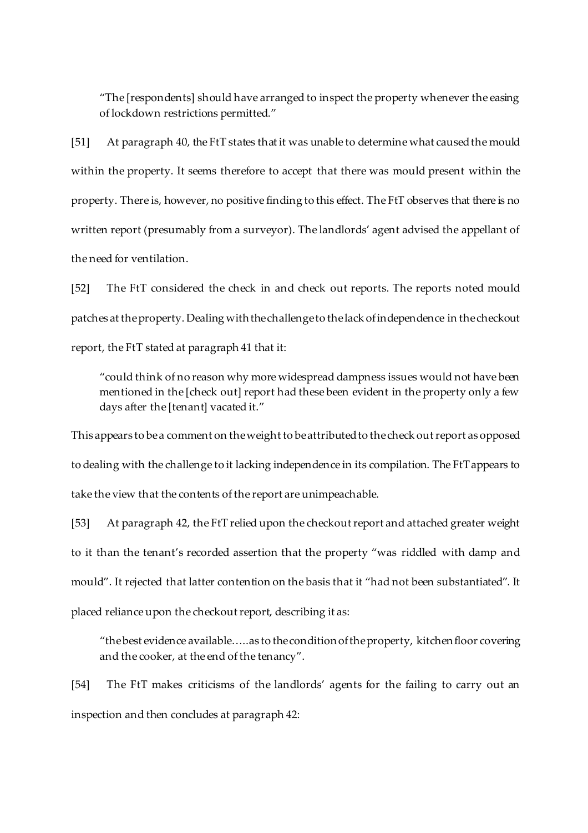"The [respondents] should have arranged to inspect the property whenever the easing of lockdown restrictions permitted."

[51] At paragraph 40, the FtT states that it was unable to determine what caused the mould within the property. It seems therefore to accept that there was mould present within the property. There is, however, no positive finding to this effect. The FtT observes that there is no written report (presumably from a surveyor). The landlords' agent advised the appellant of the need for ventilation.

[52] The FtT considered the check in and check out reports. The reports noted mould patches at theproperty. Dealing withthechallengeto thelack ofindependence in thecheckout report, the FtT stated at paragraph 41 that it:

"could think of no reason why more widespread dampness issues would not have been mentioned in the [check out] report had these been evident in the property only a few days after the [tenant] vacated it."

This appears to be a comment on the weight to be attributed to the check out report as opposed to dealing with the challenge to it lacking independence in its compilation. The FtTappears to take the view that the contents of the report are unimpeachable.

[53] At paragraph 42, the FtT relied upon the checkout report and attached greater weight to it than the tenant's recorded assertion that the property "was riddled with damp and mould". It rejected that latter contention on the basis that it "had not been substantiated". It placed reliance upon the checkout report, describing it as:

"the best evidence available.....as to the condition of the property, kitchen floor covering and the cooker, at the end of the tenancy".

[54] The FtT makes criticisms of the landlords' agents for the failing to carry out an inspection and then concludes at paragraph 42: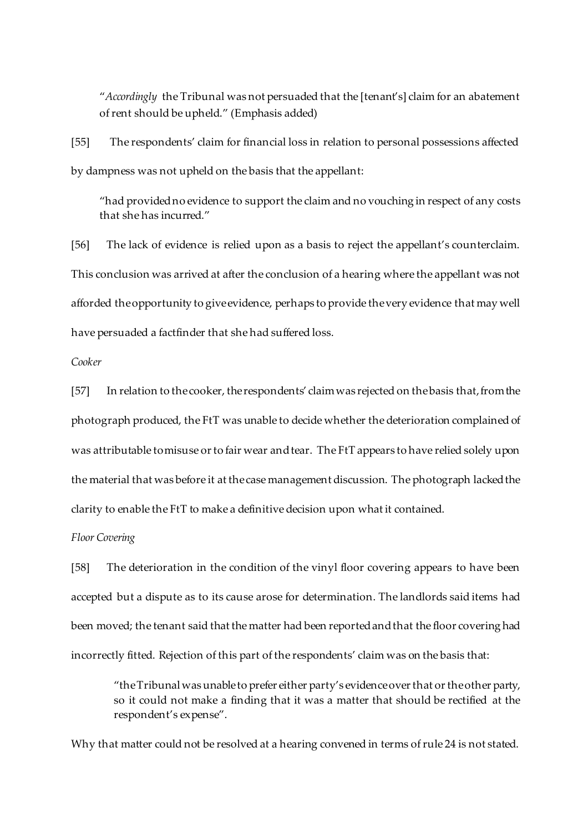"*Accordingly* the Tribunal was not persuaded that the [tenant's] claim for an abatement ofrent should be upheld." (Emphasis added)

[55] The respondents' claim for financial loss in relation to personal possessions affected by dampness was not upheld on the basis that the appellant:

"had providedno evidence to support the claim and no vouching in respect of any costs that she has incurred."

[56] The lack of evidence is relied upon as a basis to reject the appellant's counterclaim. This conclusion was arrived at after the conclusion of a hearing where the appellant was not afforded theopportunity to giveevidence, perhaps to provide thevery evidence that may well have persuaded a factfinder that she had suffered loss.

*Cooker*

[57] In relation to the cooker, the respondents' claim was rejected on the basis that, from the photograph produced, the FtT was unable to decide whether the deterioration complained of was attributable to misuse or to fair wear and tear. The FtT appears to have relied solely upon the material that was before it at thecase management discussion. The photograph lackedthe clarity to enable the FtT to make a definitive decision upon what it contained.

*Floor Covering*

[58] The deterioration in the condition of the vinyl floor covering appears to have been accepted but a dispute as to its cause arose for determination. The landlords said items had been moved; the tenant said that the matter had been reportedandthat the floor covering had incorrectly fitted. Rejection of this part of the respondents' claim was on the basis that:

"the Tribunal was unable to prefer either party's evidence over that or the other party, so it could not make a finding that it was a matter that should be rectified at the respondent's expense".

Why that matter could not be resolved at a hearing convened in terms of rule 24 is not stated.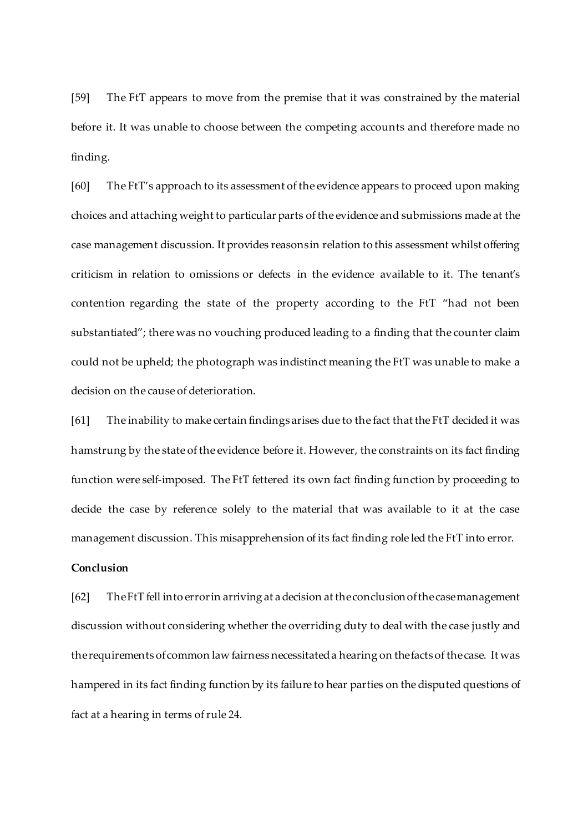[59] The FtT appears to move from the premise that it was constrained by the material before it. It was unable to choose between the competing accounts and therefore made no finding.

[60] The FtT's approach to its assessment of the evidence appears to proceed upon making choices and attaching weight to particular parts of the evidence and submissions made at the case management discussion. It provides reasonsin relation to this assessment whilst offering criticism in relation to omissions or defects in the evidence available to it. The tenant's contention regarding the state of the property according to the FtT "had not been substantiated"; there was no vouching produced leading to a finding that the counter claim could not be upheld; the photograph was indistinct meaning the FtT was unable to make a decision on the cause of deterioration.

[61] The inability to make certain findings arises due to the fact that the FtT decided it was hamstrung by the state of the evidence before it. However, the constraints on its fact finding function were self-imposed. The FtT fettered its own fact finding function by proceeding to decide the case by reference solely to the material that was available to it at the case management discussion. This misapprehension of its fact finding role led the FtT into error.

## **Conclusion**

[62] TheFtT fell into errorin arriving at adecision at theconclusionofthecasemanagement discussion without considering whether the overriding duty to deal with the case justly and therequirements ofcommon law fairness necessitateda hearing on thefacts of thecase. It was hampered in its fact finding function by its failure to hear parties on the disputed questions of fact at a hearing in terms of rule 24.